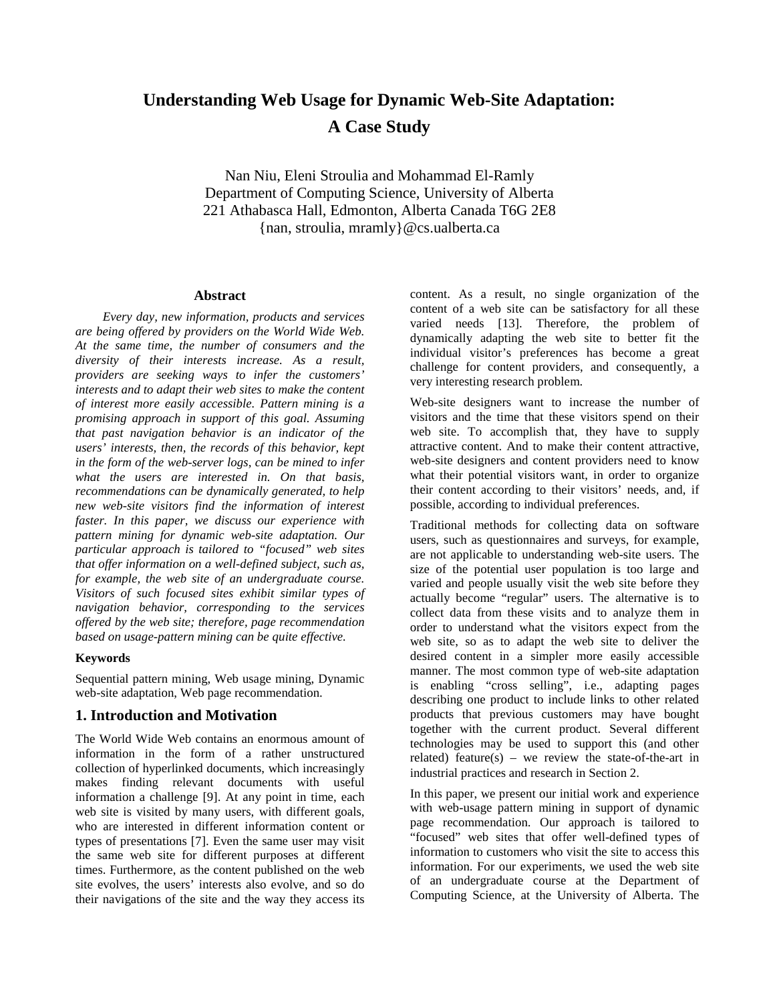# **Understanding Web Usage for Dynamic Web-Site Adaptation: A Case Study**

Nan Niu, Eleni Stroulia and Mohammad El-Ramly Department of Computing Science, University of Alberta 221 Athabasca Hall, Edmonton, Alberta Canada T6G 2E8 {nan, stroulia, mramly}@cs.ualberta.ca

#### **Abstract**

*Every day, new information, products and services are being offered by providers on the World Wide Web. At the same time, the number of consumers and the diversity of their interests increase. As a result, providers are seeking ways to infer the customers' interests and to adapt their web sites to make the content of interest more easily accessible. Pattern mining is a promising approach in support of this goal. Assuming that past navigation behavior is an indicator of the users' interests, then, the records of this behavior, kept in the form of the web-server logs, can be mined to infer what the users are interested in. On that basis, recommendations can be dynamically generated, to help new web-site visitors find the information of interest faster. In this paper, we discuss our experience with pattern mining for dynamic web-site adaptation. Our particular approach is tailored to "focused" web sites that offer information on a well-defined subject, such as, for example, the web site of an undergraduate course. Visitors of such focused sites exhibit similar types of navigation behavior, corresponding to the services offered by the web site; therefore, page recommendation based on usage-pattern mining can be quite effective.*

#### **Keywords**

Sequential pattern mining, Web usage mining, Dynamic web-site adaptation, Web page recommendation.

### **1. Introduction and Motivation**

The World Wide Web contains an enormous amount of information in the form of a rather unstructured collection of hyperlinked documents, which increasingly makes finding relevant documents with useful information a challenge [9]. At any point in time, each web site is visited by many users, with different goals, who are interested in different information content or types of presentations [7]. Even the same user may visit the same web site for different purposes at different times. Furthermore, as the content published on the web site evolves, the users' interests also evolve, and so do their navigations of the site and the way they access its

content. As a result, no single organization of the content of a web site can be satisfactory for all these varied needs [13]. Therefore, the problem of dynamically adapting the web site to better fit the individual visitor's preferences has become a great challenge for content providers, and consequently, a very interesting research problem.

Web-site designers want to increase the number of visitors and the time that these visitors spend on their web site. To accomplish that, they have to supply attractive content. And to make their content attractive, web-site designers and content providers need to know what their potential visitors want, in order to organize their content according to their visitors' needs, and, if possible, according to individual preferences.

Traditional methods for collecting data on software users, such as questionnaires and surveys, for example, are not applicable to understanding web-site users. The size of the potential user population is too large and varied and people usually visit the web site before they actually become "regular" users. The alternative is to collect data from these visits and to analyze them in order to understand what the visitors expect from the web site, so as to adapt the web site to deliver the desired content in a simpler more easily accessible manner. The most common type of web-site adaptation is enabling "cross selling", i.e., adapting pages describing one product to include links to other related products that previous customers may have bought together with the current product. Several different technologies may be used to support this (and other related) feature(s) – we review the state-of-the-art in industrial practices and research in Section 2.

In this paper, we present our initial work and experience with web-usage pattern mining in support of dynamic page recommendation. Our approach is tailored to "focused" web sites that offer well-defined types of information to customers who visit the site to access this information. For our experiments, we used the web site of an undergraduate course at the Department of Computing Science, at the University of Alberta. The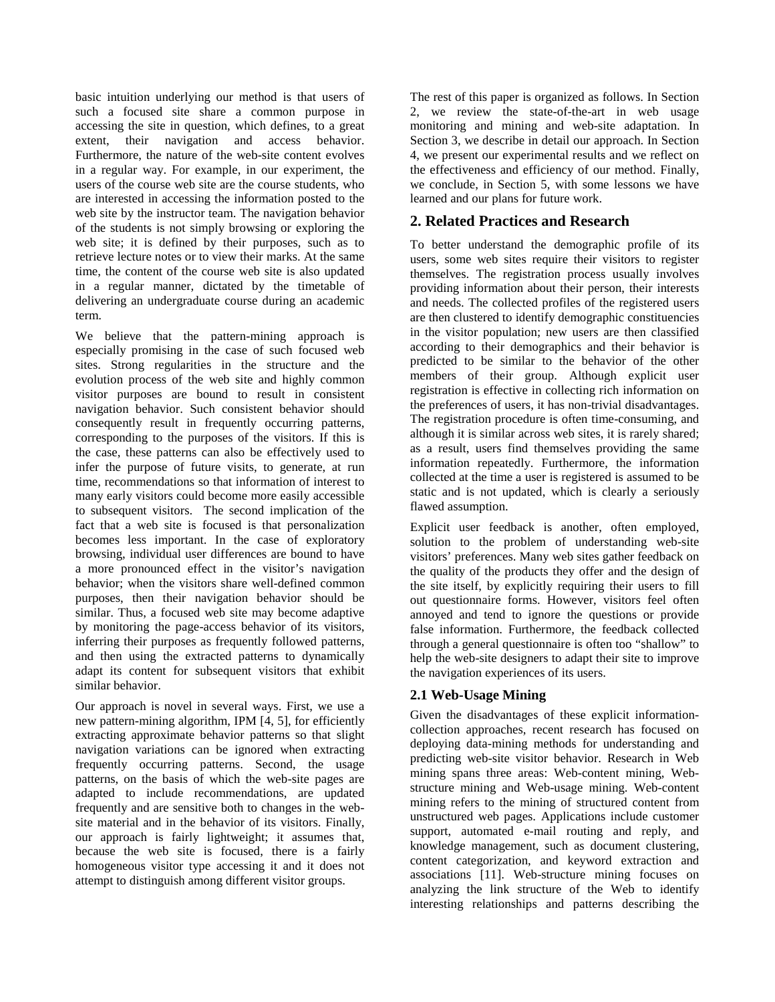basic intuition underlying our method is that users of such a focused site share a common purpose in accessing the site in question, which defines, to a great extent, their navigation and access behavior. Furthermore, the nature of the web-site content evolves in a regular way. For example, in our experiment, the users of the course web site are the course students, who are interested in accessing the information posted to the web site by the instructor team. The navigation behavior of the students is not simply browsing or exploring the web site; it is defined by their purposes, such as to retrieve lecture notes or to view their marks. At the same time, the content of the course web site is also updated in a regular manner, dictated by the timetable of delivering an undergraduate course during an academic term.

We believe that the pattern-mining approach is especially promising in the case of such focused web sites. Strong regularities in the structure and the evolution process of the web site and highly common visitor purposes are bound to result in consistent navigation behavior. Such consistent behavior should consequently result in frequently occurring patterns, corresponding to the purposes of the visitors. If this is the case, these patterns can also be effectively used to infer the purpose of future visits, to generate, at run time, recommendations so that information of interest to many early visitors could become more easily accessible to subsequent visitors. The second implication of the fact that a web site is focused is that personalization becomes less important. In the case of exploratory browsing, individual user differences are bound to have a more pronounced effect in the visitor's navigation behavior; when the visitors share well-defined common purposes, then their navigation behavior should be similar. Thus, a focused web site may become adaptive by monitoring the page-access behavior of its visitors, inferring their purposes as frequently followed patterns, and then using the extracted patterns to dynamically adapt its content for subsequent visitors that exhibit similar behavior.

Our approach is novel in several ways. First, we use a new pattern-mining algorithm, IPM [4, 5], for efficiently extracting approximate behavior patterns so that slight navigation variations can be ignored when extracting frequently occurring patterns. Second, the usage patterns, on the basis of which the web-site pages are adapted to include recommendations, are updated frequently and are sensitive both to changes in the website material and in the behavior of its visitors. Finally, our approach is fairly lightweight; it assumes that, because the web site is focused, there is a fairly homogeneous visitor type accessing it and it does not attempt to distinguish among different visitor groups.

The rest of this paper is organized as follows. In Section 2, we review the state-of-the-art in web usage monitoring and mining and web-site adaptation. In Section 3, we describe in detail our approach. In Section 4, we present our experimental results and we reflect on the effectiveness and efficiency of our method. Finally, we conclude, in Section 5, with some lessons we have learned and our plans for future work.

# **2. Related Practices and Research**

To better understand the demographic profile of its users, some web sites require their visitors to register themselves. The registration process usually involves providing information about their person, their interests and needs. The collected profiles of the registered users are then clustered to identify demographic constituencies in the visitor population; new users are then classified according to their demographics and their behavior is predicted to be similar to the behavior of the other members of their group. Although explicit user registration is effective in collecting rich information on the preferences of users, it has non-trivial disadvantages. The registration procedure is often time-consuming, and although it is similar across web sites, it is rarely shared; as a result, users find themselves providing the same information repeatedly. Furthermore, the information collected at the time a user is registered is assumed to be static and is not updated, which is clearly a seriously flawed assumption.

Explicit user feedback is another, often employed, solution to the problem of understanding web-site visitors' preferences. Many web sites gather feedback on the quality of the products they offer and the design of the site itself, by explicitly requiring their users to fill out questionnaire forms. However, visitors feel often annoyed and tend to ignore the questions or provide false information. Furthermore, the feedback collected through a general questionnaire is often too "shallow" to help the web-site designers to adapt their site to improve the navigation experiences of its users.

### **2.1 Web-Usage Mining**

Given the disadvantages of these explicit informationcollection approaches, recent research has focused on deploying data-mining methods for understanding and predicting web-site visitor behavior. Research in Web mining spans three areas: Web-content mining, Webstructure mining and Web-usage mining. Web-content mining refers to the mining of structured content from unstructured web pages. Applications include customer support, automated e-mail routing and reply, and knowledge management, such as document clustering, content categorization, and keyword extraction and associations [11]. Web-structure mining focuses on analyzing the link structure of the Web to identify interesting relationships and patterns describing the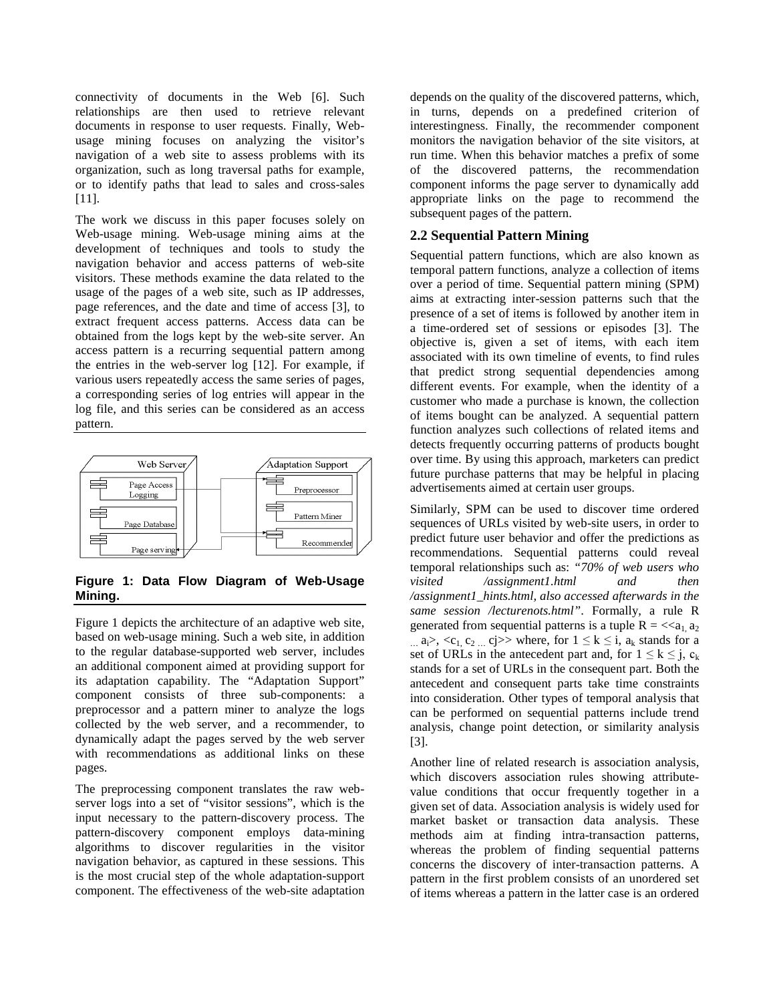connectivity of documents in the Web [6]. Such relationships are then used to retrieve relevant documents in response to user requests. Finally, Webusage mining focuses on analyzing the visitor's navigation of a web site to assess problems with its organization, such as long traversal paths for example, or to identify paths that lead to sales and cross-sales [11].

The work we discuss in this paper focuses solely on Web-usage mining. Web-usage mining aims at the development of techniques and tools to study the navigation behavior and access patterns of web-site visitors. These methods examine the data related to the usage of the pages of a web site, such as IP addresses, page references, and the date and time of access [3], to extract frequent access patterns. Access data can be obtained from the logs kept by the web-site server. An access pattern is a recurring sequential pattern among the entries in the web-server log [12]. For example, if various users repeatedly access the same series of pages, a corresponding series of log entries will appear in the log file, and this series can be considered as an access pattern.





Figure 1 depicts the architecture of an adaptive web site, based on web-usage mining. Such a web site, in addition to the regular database-supported web server, includes an additional component aimed at providing support for its adaptation capability. The "Adaptation Support" component consists of three sub-components: a preprocessor and a pattern miner to analyze the logs collected by the web server, and a recommender, to dynamically adapt the pages served by the web server with recommendations as additional links on these pages.

The preprocessing component translates the raw webserver logs into a set of "visitor sessions", which is the input necessary to the pattern-discovery process. The pattern-discovery component employs data-mining algorithms to discover regularities in the visitor navigation behavior, as captured in these sessions. This is the most crucial step of the whole adaptation-support component. The effectiveness of the web-site adaptation

depends on the quality of the discovered patterns, which, in turns, depends on a predefined criterion of interestingness. Finally, the recommender component monitors the navigation behavior of the site visitors, at run time. When this behavior matches a prefix of some of the discovered patterns, the recommendation component informs the page server to dynamically add appropriate links on the page to recommend the subsequent pages of the pattern.

### **2.2 Sequential Pattern Mining**

Sequential pattern functions, which are also known as temporal pattern functions, analyze a collection of items over a period of time. Sequential pattern mining (SPM) aims at extracting inter-session patterns such that the presence of a set of items is followed by another item in a time-ordered set of sessions or episodes [3]. The objective is, given a set of items, with each item associated with its own timeline of events, to find rules that predict strong sequential dependencies among different events. For example, when the identity of a customer who made a purchase is known, the collection of items bought can be analyzed. A sequential pattern function analyzes such collections of related items and detects frequently occurring patterns of products bought over time. By using this approach, marketers can predict future purchase patterns that may be helpful in placing advertisements aimed at certain user groups.

Similarly, SPM can be used to discover time ordered sequences of URLs visited by web-site users, in order to predict future user behavior and offer the predictions as recommendations. Sequential patterns could reveal temporal relationships such as: *"70% of web users who visited /assignment1.html and then /assignment1\_hints.html, also accessed afterwards in the same session /lecturenots.html"*. Formally, a rule R generated from sequential patterns is a tuple  $R = \langle \langle a_1, a_2 \rangle$  $\therefore$  a<sub>i</sub>>, <c<sub>1</sub>, c<sub>2</sub> ... cj>> where, for  $1 \le k \le i$ , a<sub>k</sub> stands for a set of URLs in the antecedent part and, for  $1 \leq k \leq j$ ,  $c_k$ stands for a set of URLs in the consequent part. Both the antecedent and consequent parts take time constraints into consideration. Other types of temporal analysis that can be performed on sequential patterns include trend analysis, change point detection, or similarity analysis [3].

Another line of related research is association analysis, which discovers association rules showing attributevalue conditions that occur frequently together in a given set of data. Association analysis is widely used for market basket or transaction data analysis. These methods aim at finding intra-transaction patterns, whereas the problem of finding sequential patterns concerns the discovery of inter-transaction patterns. A pattern in the first problem consists of an unordered set of items whereas a pattern in the latter case is an ordered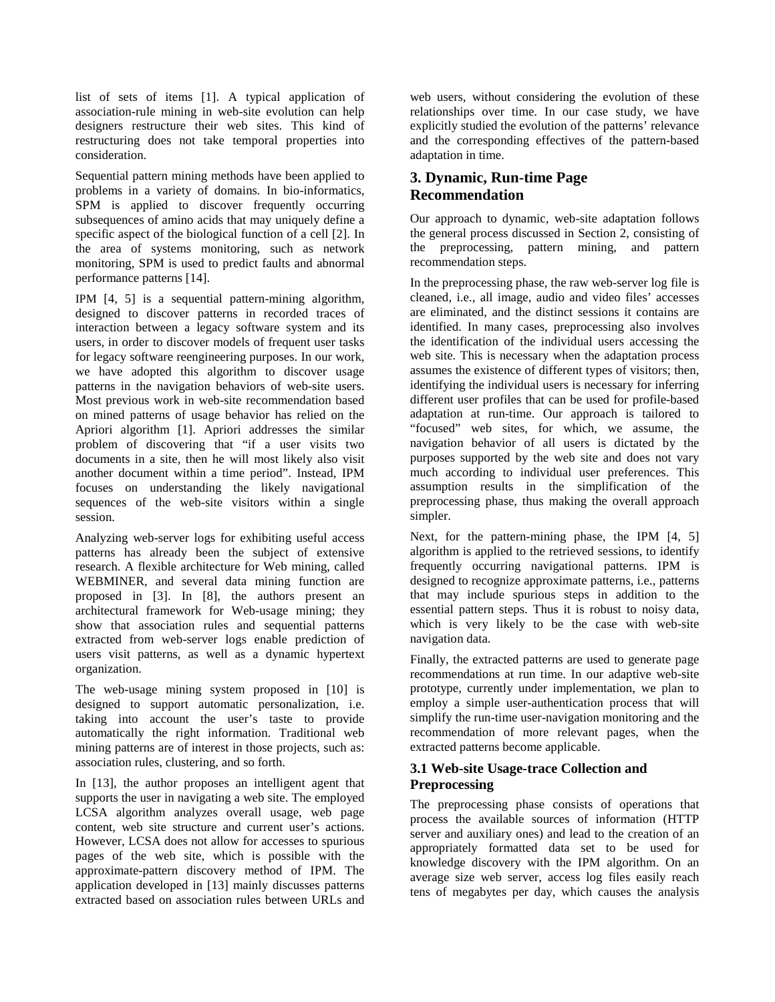list of sets of items [1]. A typical application of association-rule mining in web-site evolution can help designers restructure their web sites. This kind of restructuring does not take temporal properties into consideration.

Sequential pattern mining methods have been applied to problems in a variety of domains. In bio-informatics, SPM is applied to discover frequently occurring subsequences of amino acids that may uniquely define a specific aspect of the biological function of a cell [2]. In the area of systems monitoring, such as network monitoring, SPM is used to predict faults and abnormal performance patterns [14].

IPM [4, 5] is a sequential pattern-mining algorithm, designed to discover patterns in recorded traces of interaction between a legacy software system and its users, in order to discover models of frequent user tasks for legacy software reengineering purposes. In our work, we have adopted this algorithm to discover usage patterns in the navigation behaviors of web-site users. Most previous work in web-site recommendation based on mined patterns of usage behavior has relied on the Apriori algorithm [1]. Apriori addresses the similar problem of discovering that "if a user visits two documents in a site, then he will most likely also visit another document within a time period". Instead, IPM focuses on understanding the likely navigational sequences of the web-site visitors within a single session.

Analyzing web-server logs for exhibiting useful access patterns has already been the subject of extensive research. A flexible architecture for Web mining, called WEBMINER, and several data mining function are proposed in [3]. In [8], the authors present an architectural framework for Web-usage mining; they show that association rules and sequential patterns extracted from web-server logs enable prediction of users visit patterns, as well as a dynamic hypertext organization.

The web-usage mining system proposed in [10] is designed to support automatic personalization, i.e. taking into account the user's taste to provide automatically the right information. Traditional web mining patterns are of interest in those projects, such as: association rules, clustering, and so forth.

In [13], the author proposes an intelligent agent that supports the user in navigating a web site. The employed LCSA algorithm analyzes overall usage, web page content, web site structure and current user's actions. However, LCSA does not allow for accesses to spurious pages of the web site, which is possible with the approximate-pattern discovery method of IPM. The application developed in [13] mainly discusses patterns extracted based on association rules between URLs and

web users, without considering the evolution of these relationships over time. In our case study, we have explicitly studied the evolution of the patterns' relevance and the corresponding effectives of the pattern-based adaptation in time.

# **3. Dynamic, Run-time Page Recommendation**

Our approach to dynamic, web-site adaptation follows the general process discussed in Section 2, consisting of the preprocessing, pattern mining, and pattern recommendation steps.

In the preprocessing phase, the raw web-server log file is cleaned, i.e., all image, audio and video files' accesses are eliminated, and the distinct sessions it contains are identified. In many cases, preprocessing also involves the identification of the individual users accessing the web site. This is necessary when the adaptation process assumes the existence of different types of visitors; then, identifying the individual users is necessary for inferring different user profiles that can be used for profile-based adaptation at run-time. Our approach is tailored to "focused" web sites, for which, we assume, the navigation behavior of all users is dictated by the purposes supported by the web site and does not vary much according to individual user preferences. This assumption results in the simplification of the preprocessing phase, thus making the overall approach simpler.

Next, for the pattern-mining phase, the IPM [4, 5] algorithm is applied to the retrieved sessions, to identify frequently occurring navigational patterns. IPM is designed to recognize approximate patterns, i.e., patterns that may include spurious steps in addition to the essential pattern steps. Thus it is robust to noisy data, which is very likely to be the case with web-site navigation data.

Finally, the extracted patterns are used to generate page recommendations at run time. In our adaptive web-site prototype, currently under implementation, we plan to employ a simple user-authentication process that will simplify the run-time user-navigation monitoring and the recommendation of more relevant pages, when the extracted patterns become applicable.

## **3.1 Web-site Usage-trace Collection and Preprocessing**

The preprocessing phase consists of operations that process the available sources of information (HTTP server and auxiliary ones) and lead to the creation of an appropriately formatted data set to be used for knowledge discovery with the IPM algorithm. On an average size web server, access log files easily reach tens of megabytes per day, which causes the analysis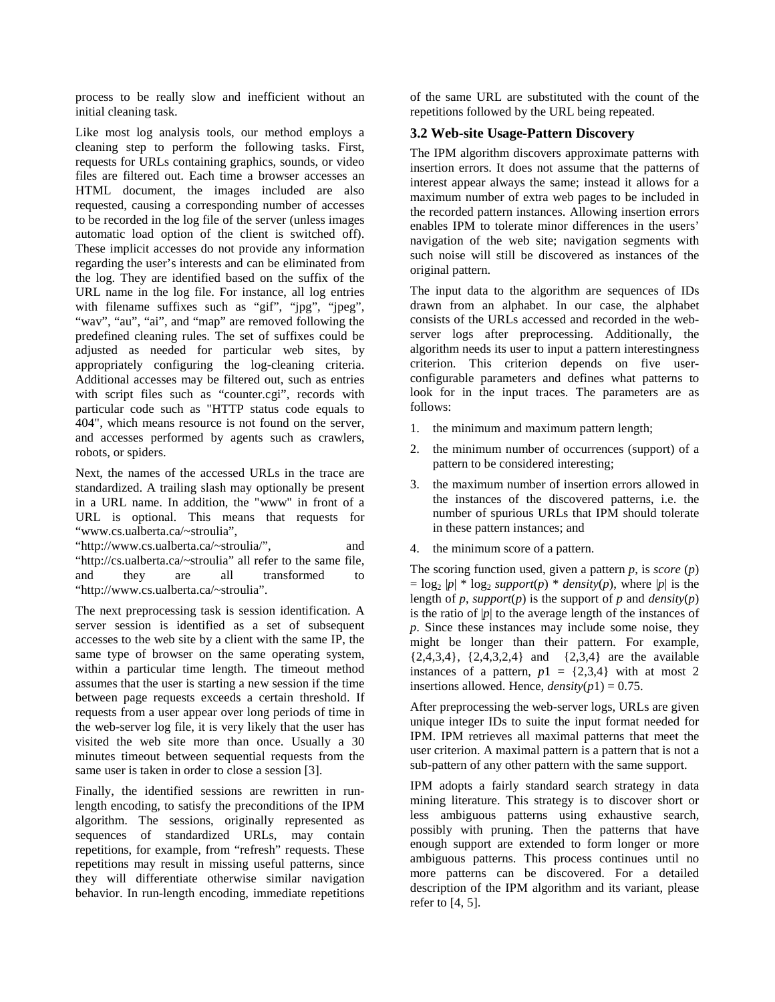process to be really slow and inefficient without an initial cleaning task.

Like most log analysis tools, our method employs a cleaning step to perform the following tasks. First, requests for URLs containing graphics, sounds, or video files are filtered out. Each time a browser accesses an HTML document, the images included are also requested, causing a corresponding number of accesses to be recorded in the log file of the server (unless images automatic load option of the client is switched off). These implicit accesses do not provide any information regarding the user's interests and can be eliminated from the log. They are identified based on the suffix of the URL name in the log file. For instance, all log entries with filename suffixes such as "gif", "jpg", "jpeg", "wav", "au", "ai", and "map" are removed following the predefined cleaning rules. The set of suffixes could be adjusted as needed for particular web sites, by appropriately configuring the log-cleaning criteria. Additional accesses may be filtered out, such as entries with script files such as "counter.cgi", records with particular code such as "HTTP status code equals to 404", which means resource is not found on the server, and accesses performed by agents such as crawlers, robots, or spiders.

Next, the names of the accessed URLs in the trace are standardized. A trailing slash may optionally be present in a URL name. In addition, the "www" in front of a URL is optional. This means that requests for "www.cs.ualberta.ca/~stroulia",

"http://www.cs.ualberta.ca/~stroulia/", and "http://cs.ualberta.ca/~stroulia" all refer to the same file, and they are all transformed to "http://www.cs.ualberta.ca/~stroulia".

The next preprocessing task is session identification. A server session is identified as a set of subsequent accesses to the web site by a client with the same IP, the same type of browser on the same operating system, within a particular time length. The timeout method assumes that the user is starting a new session if the time between page requests exceeds a certain threshold. If requests from a user appear over long periods of time in the web-server log file, it is very likely that the user has visited the web site more than once. Usually a 30 minutes timeout between sequential requests from the same user is taken in order to close a session [3].

Finally, the identified sessions are rewritten in runlength encoding, to satisfy the preconditions of the IPM algorithm. The sessions, originally represented as sequences of standardized URLs, may contain repetitions, for example, from "refresh" requests. These repetitions may result in missing useful patterns, since they will differentiate otherwise similar navigation behavior. In run-length encoding, immediate repetitions

of the same URL are substituted with the count of the repetitions followed by the URL being repeated.

# **3.2 Web-site Usage-Pattern Discovery**

The IPM algorithm discovers approximate patterns with insertion errors. It does not assume that the patterns of interest appear always the same; instead it allows for a maximum number of extra web pages to be included in the recorded pattern instances. Allowing insertion errors enables IPM to tolerate minor differences in the users' navigation of the web site; navigation segments with such noise will still be discovered as instances of the original pattern.

The input data to the algorithm are sequences of IDs drawn from an alphabet. In our case, the alphabet consists of the URLs accessed and recorded in the webserver logs after preprocessing. Additionally, the algorithm needs its user to input a pattern interestingness criterion. This criterion depends on five userconfigurable parameters and defines what patterns to look for in the input traces. The parameters are as follows:

- 1. the minimum and maximum pattern length;
- 2. the minimum number of occurrences (support) of a pattern to be considered interesting;
- 3. the maximum number of insertion errors allowed in the instances of the discovered patterns, i.e. the number of spurious URLs that IPM should tolerate in these pattern instances; and
- 4. the minimum score of a pattern.

The scoring function used, given a pattern *p*, is *score* (*p*)  $= \log_2 |p| * \log_2 support(p) * density(p)$ , where |p| is the length of *p*, *support*(*p*) is the support of *p* and *density*(*p*) is the ratio of  $|p|$  to the average length of the instances of *p*. Since these instances may include some noise, they might be longer than their pattern. For example, {2,4,3,4}, {2,4,3,2,4} and {2,3,4} are the available instances of a pattern,  $p1 = \{2,3,4\}$  with at most 2 insertions allowed. Hence,  $density(p1) = 0.75$ .

After preprocessing the web-server logs, URLs are given unique integer IDs to suite the input format needed for IPM. IPM retrieves all maximal patterns that meet the user criterion. A maximal pattern is a pattern that is not a sub-pattern of any other pattern with the same support.

IPM adopts a fairly standard search strategy in data mining literature. This strategy is to discover short or less ambiguous patterns using exhaustive search, possibly with pruning. Then the patterns that have enough support are extended to form longer or more ambiguous patterns. This process continues until no more patterns can be discovered. For a detailed description of the IPM algorithm and its variant, please refer to  $[4, 5]$ .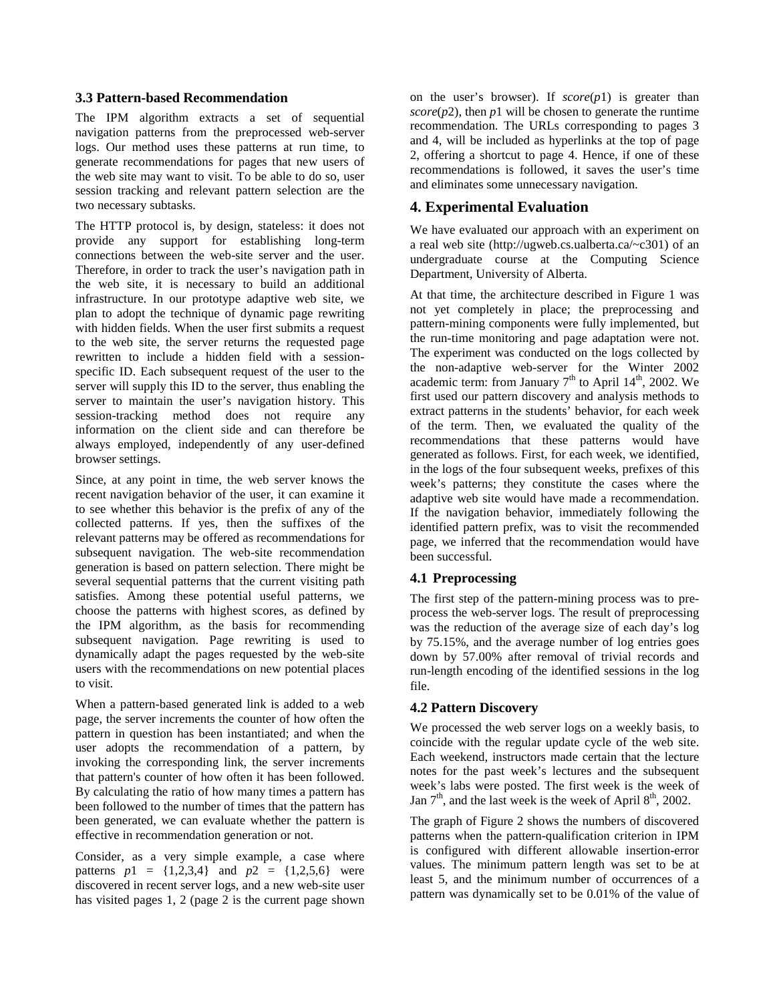### **3.3 Pattern-based Recommendation**

The IPM algorithm extracts a set of sequential navigation patterns from the preprocessed web-server logs. Our method uses these patterns at run time, to generate recommendations for pages that new users of the web site may want to visit. To be able to do so, user session tracking and relevant pattern selection are the two necessary subtasks.

The HTTP protocol is, by design, stateless: it does not provide any support for establishing long-term connections between the web-site server and the user. Therefore, in order to track the user's navigation path in the web site, it is necessary to build an additional infrastructure. In our prototype adaptive web site, we plan to adopt the technique of dynamic page rewriting with hidden fields. When the user first submits a request to the web site, the server returns the requested page rewritten to include a hidden field with a sessionspecific ID. Each subsequent request of the user to the server will supply this ID to the server, thus enabling the server to maintain the user's navigation history. This session-tracking method does not require any information on the client side and can therefore be always employed, independently of any user-defined browser settings.

Since, at any point in time, the web server knows the recent navigation behavior of the user, it can examine it to see whether this behavior is the prefix of any of the collected patterns. If yes, then the suffixes of the relevant patterns may be offered as recommendations for subsequent navigation. The web-site recommendation generation is based on pattern selection. There might be several sequential patterns that the current visiting path satisfies. Among these potential useful patterns, we choose the patterns with highest scores, as defined by the IPM algorithm, as the basis for recommending subsequent navigation. Page rewriting is used to dynamically adapt the pages requested by the web-site users with the recommendations on new potential places to visit.

When a pattern-based generated link is added to a web page, the server increments the counter of how often the pattern in question has been instantiated; and when the user adopts the recommendation of a pattern, by invoking the corresponding link, the server increments that pattern's counter of how often it has been followed. By calculating the ratio of how many times a pattern has been followed to the number of times that the pattern has been generated, we can evaluate whether the pattern is effective in recommendation generation or not.

Consider, as a very simple example, a case where patterns  $p1 = \{1,2,3,4\}$  and  $p2 = \{1,2,5,6\}$  were discovered in recent server logs, and a new web-site user has visited pages 1, 2 (page 2 is the current page shown on the user's browser). If *score*(*p*1) is greater than  $score(p2)$ , then  $p1$  will be chosen to generate the runtime recommendation. The URLs corresponding to pages 3 and 4, will be included as hyperlinks at the top of page 2, offering a shortcut to page 4. Hence, if one of these recommendations is followed, it saves the user's time and eliminates some unnecessary navigation.

## **4. Experimental Evaluation**

We have evaluated our approach with an experiment on a real web site (http://ugweb.cs.ualberta.ca/~c301) of an undergraduate course at the Computing Science Department, University of Alberta.

At that time, the architecture described in Figure 1 was not yet completely in place; the preprocessing and pattern-mining components were fully implemented, but the run-time monitoring and page adaptation were not. The experiment was conducted on the logs collected by the non-adaptive web-server for the Winter 2002 academic term: from January  $7<sup>th</sup>$  to April 14<sup>th</sup>, 2002. We first used our pattern discovery and analysis methods to extract patterns in the students' behavior, for each week of the term. Then, we evaluated the quality of the recommendations that these patterns would have generated as follows. First, for each week, we identified, in the logs of the four subsequent weeks, prefixes of this week's patterns; they constitute the cases where the adaptive web site would have made a recommendation. If the navigation behavior, immediately following the identified pattern prefix, was to visit the recommended page, we inferred that the recommendation would have been successful.

## **4.1 Preprocessing**

The first step of the pattern-mining process was to preprocess the web-server logs. The result of preprocessing was the reduction of the average size of each day's log by 75.15%, and the average number of log entries goes down by 57.00% after removal of trivial records and run-length encoding of the identified sessions in the log file.

### **4.2 Pattern Discovery**

We processed the web server logs on a weekly basis, to coincide with the regular update cycle of the web site. Each weekend, instructors made certain that the lecture notes for the past week's lectures and the subsequent week's labs were posted. The first week is the week of Jan  $7<sup>th</sup>$ , and the last week is the week of April  $8<sup>th</sup>$ , 2002.

The graph of Figure 2 shows the numbers of discovered patterns when the pattern-qualification criterion in IPM is configured with different allowable insertion-error values. The minimum pattern length was set to be at least 5, and the minimum number of occurrences of a pattern was dynamically set to be 0.01% of the value of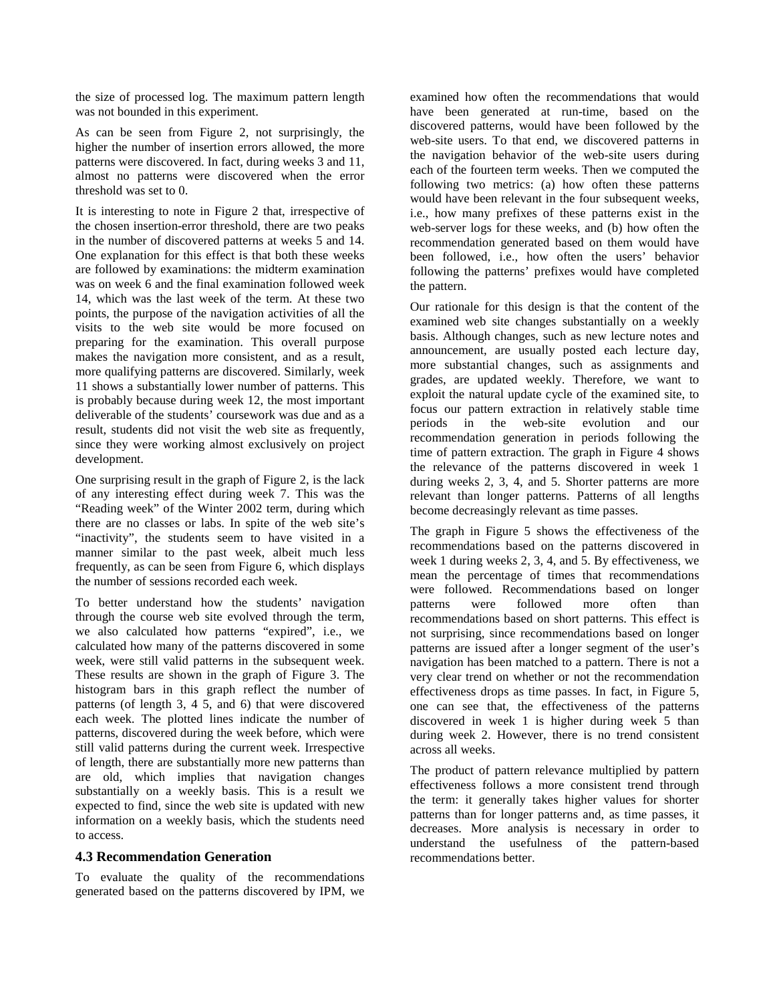the size of processed log. The maximum pattern length was not bounded in this experiment.

As can be seen from Figure 2, not surprisingly, the higher the number of insertion errors allowed, the more patterns were discovered. In fact, during weeks 3 and 11, almost no patterns were discovered when the error threshold was set to 0.

It is interesting to note in Figure 2 that, irrespective of the chosen insertion-error threshold, there are two peaks in the number of discovered patterns at weeks 5 and 14. One explanation for this effect is that both these weeks are followed by examinations: the midterm examination was on week 6 and the final examination followed week 14, which was the last week of the term. At these two points, the purpose of the navigation activities of all the visits to the web site would be more focused on preparing for the examination. This overall purpose makes the navigation more consistent, and as a result, more qualifying patterns are discovered. Similarly, week 11 shows a substantially lower number of patterns. This is probably because during week 12, the most important deliverable of the students' coursework was due and as a result, students did not visit the web site as frequently, since they were working almost exclusively on project development.

One surprising result in the graph of Figure 2, is the lack of any interesting effect during week 7. This was the "Reading week" of the Winter 2002 term, during which there are no classes or labs. In spite of the web site's "inactivity", the students seem to have visited in a manner similar to the past week, albeit much less frequently, as can be seen from Figure 6, which displays the number of sessions recorded each week.

To better understand how the students' navigation through the course web site evolved through the term, we also calculated how patterns "expired", i.e., we calculated how many of the patterns discovered in some week, were still valid patterns in the subsequent week. These results are shown in the graph of Figure 3. The histogram bars in this graph reflect the number of patterns (of length 3, 4 5, and 6) that were discovered each week. The plotted lines indicate the number of patterns, discovered during the week before, which were still valid patterns during the current week. Irrespective of length, there are substantially more new patterns than are old, which implies that navigation changes substantially on a weekly basis. This is a result we expected to find, since the web site is updated with new information on a weekly basis, which the students need to access.

### **4.3 Recommendation Generation**

To evaluate the quality of the recommendations generated based on the patterns discovered by IPM, we examined how often the recommendations that would have been generated at run-time, based on the discovered patterns, would have been followed by the web-site users. To that end, we discovered patterns in the navigation behavior of the web-site users during each of the fourteen term weeks. Then we computed the following two metrics: (a) how often these patterns would have been relevant in the four subsequent weeks, i.e., how many prefixes of these patterns exist in the web-server logs for these weeks, and (b) how often the recommendation generated based on them would have been followed, i.e., how often the users' behavior following the patterns' prefixes would have completed the pattern.

Our rationale for this design is that the content of the examined web site changes substantially on a weekly basis. Although changes, such as new lecture notes and announcement, are usually posted each lecture day, more substantial changes, such as assignments and grades, are updated weekly. Therefore, we want to exploit the natural update cycle of the examined site, to focus our pattern extraction in relatively stable time periods in the web-site evolution and our recommendation generation in periods following the time of pattern extraction. The graph in Figure 4 shows the relevance of the patterns discovered in week 1 during weeks 2, 3, 4, and 5. Shorter patterns are more relevant than longer patterns. Patterns of all lengths become decreasingly relevant as time passes.

The graph in Figure 5 shows the effectiveness of the recommendations based on the patterns discovered in week 1 during weeks 2, 3, 4, and 5. By effectiveness, we mean the percentage of times that recommendations were followed. Recommendations based on longer patterns were followed more often than recommendations based on short patterns. This effect is not surprising, since recommendations based on longer patterns are issued after a longer segment of the user's navigation has been matched to a pattern. There is not a very clear trend on whether or not the recommendation effectiveness drops as time passes. In fact, in Figure 5, one can see that, the effectiveness of the patterns discovered in week 1 is higher during week 5 than during week 2. However, there is no trend consistent across all weeks.

The product of pattern relevance multiplied by pattern effectiveness follows a more consistent trend through the term: it generally takes higher values for shorter patterns than for longer patterns and, as time passes, it decreases. More analysis is necessary in order to understand the usefulness of the pattern-based recommendations better.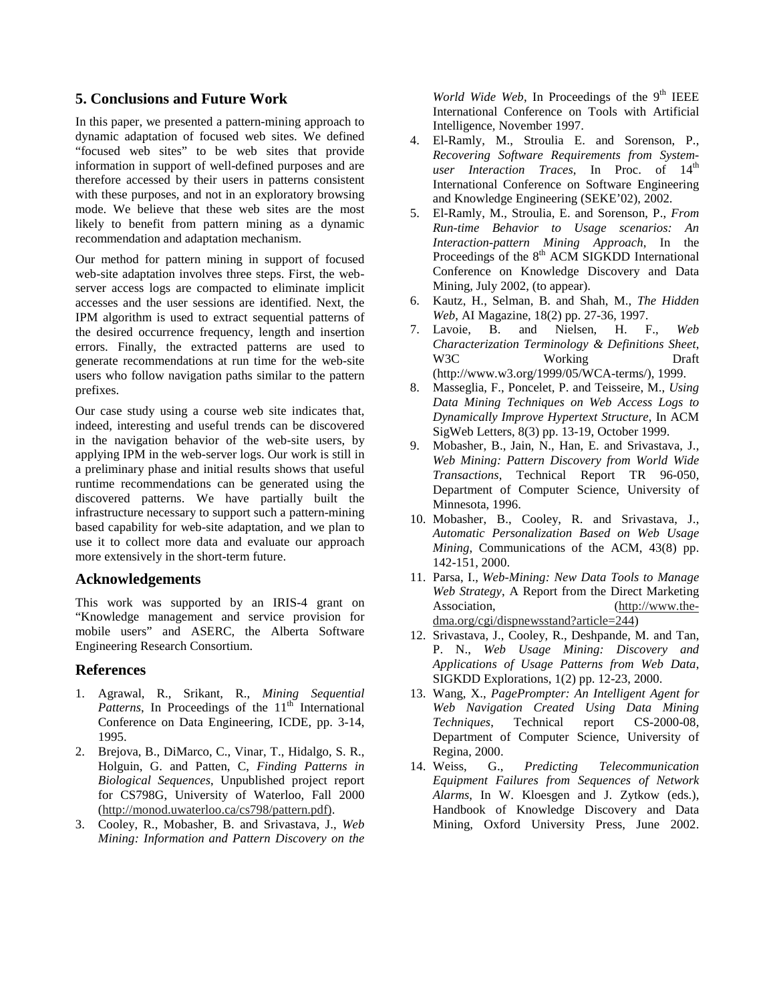### **5. Conclusions and Future Work**

In this paper, we presented a pattern-mining approach to dynamic adaptation of focused web sites. We defined "focused web sites" to be web sites that provide information in support of well-defined purposes and are therefore accessed by their users in patterns consistent with these purposes, and not in an exploratory browsing mode. We believe that these web sites are the most likely to benefit from pattern mining as a dynamic recommendation and adaptation mechanism.

Our method for pattern mining in support of focused web-site adaptation involves three steps. First, the webserver access logs are compacted to eliminate implicit accesses and the user sessions are identified. Next, the IPM algorithm is used to extract sequential patterns of the desired occurrence frequency, length and insertion errors. Finally, the extracted patterns are used to generate recommendations at run time for the web-site users who follow navigation paths similar to the pattern prefixes.

Our case study using a course web site indicates that, indeed, interesting and useful trends can be discovered in the navigation behavior of the web-site users, by applying IPM in the web-server logs. Our work is still in a preliminary phase and initial results shows that useful runtime recommendations can be generated using the discovered patterns. We have partially built the infrastructure necessary to support such a pattern-mining based capability for web-site adaptation, and we plan to use it to collect more data and evaluate our approach more extensively in the short-term future.

#### **Acknowledgements**

This work was supported by an IRIS-4 grant on "Knowledge management and service provision for mobile users" and ASERC, the Alberta Software Engineering Research Consortium.

#### **References**

- 1. Agrawal, R., Srikant, R., *Mining Sequential* Patterns, In Proceedings of the 11<sup>th</sup> International Conference on Data Engineering, ICDE, pp. 3-14, 1995.
- 2. Brejova, B., DiMarco, C., Vinar, T., Hidalgo, S. R., Holguin, G. and Patten, C, *Finding Patterns in Biological Sequences*, Unpublished project report for CS798G, University of Waterloo, Fall 2000 (http://monod.uwaterloo.ca/cs798/pattern.pdf).
- 3. Cooley, R., Mobasher, B. and Srivastava, J., *Web Mining: Information and Pattern Discovery on the*

World Wide Web, In Proceedings of the 9<sup>th</sup> IEEE International Conference on Tools with Artificial Intelligence, November 1997.

- 4. El-Ramly, M., Stroulia E. and Sorenson, P., *Recovering Software Requirements from Systemuser Interaction Traces*, In Proc. of 14 th International Conference on Software Engineering and Knowledge Engineering (SEKE'02), 2002.
- 5. El-Ramly, M., Stroulia, E. and Sorenson, P., *From Run-time Behavior to Usage scenarios: An Interaction-pattern Mining Approach*, In the Proceedings of the 8<sup>th</sup> ACM SIGKDD International Conference on Knowledge Discovery and Data Mining, July 2002, (to appear).
- 6. Kautz, H., Selman, B. and Shah, M., *The Hidden Web*, AI Magazine, 18(2) pp. 27-36, 1997.
- 7. Lavoie, B. and Nielsen, H. F., *Web Characterization Terminology & Definitions Sheet*, W3C Working Draft (http://www.w3.org/1999/05/WCA-terms/), 1999.
- 8. Masseglia, F., Poncelet, P. and Teisseire, M., *Using Data Mining Techniques on Web Access Logs to Dynamically Improve Hypertext Structure*, In ACM SigWeb Letters, 8(3) pp. 13-19, October 1999.
- 9. Mobasher, B., Jain, N., Han, E. and Srivastava, J., *Web Mining: Pattern Discovery from World Wide Transactions*, Technical Report TR 96-050, Department of Computer Science, University of Minnesota, 1996.
- 10. Mobasher, B., Cooley, R. and Srivastava, J., *Automatic Personalization Based on Web Usage Mining*, Communications of the ACM, 43(8) pp. 142-151, 2000.
- 11. Parsa, I., *Web-Mining: New Data Tools to Manage Web Strategy*, A Report from the Direct Marketing Association, (http://www.thedma.org/cgi/dispnewsstand?article=244)
- 12. Srivastava, J., Cooley, R., Deshpande, M. and Tan, P. N., *Web Usage Mining: Discovery and Applications of Usage Patterns from Web Data*, SIGKDD Explorations, 1(2) pp. 12-23, 2000.
- 13. Wang, X., *PagePrompter: An Intelligent Agent for Web Navigation Created Using Data Mining Techniques*, Technical report CS-2000-08, Department of Computer Science, University of Regina, 2000.
- 14. Weiss, G., *Predicting Telecommunication Equipment Failures from Sequences of Network Alarms*, In W. Kloesgen and J. Zytkow (eds.), Handbook of Knowledge Discovery and Data Mining, Oxford University Press, June 2002.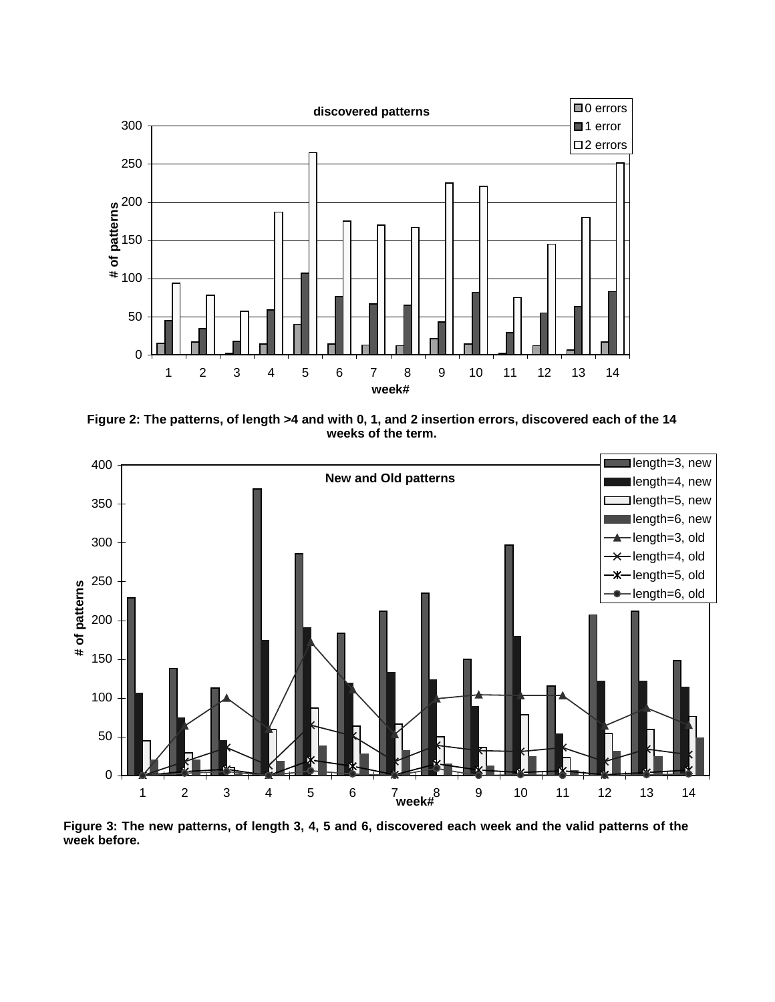

Figure 2: The patterns, of length >4 and with 0, 1, and 2 insertion errors, discovered each of the 14 **weeks of the term.**



Figure 3: The new patterns, of length 3, 4, 5 and 6, discovered each week and the valid patterns of the **week before.**